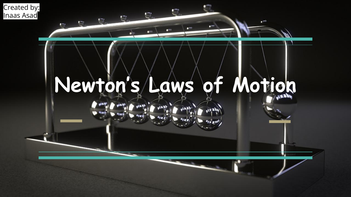



 $\mathbf{r}$ 

Ū.

 $\mathbb{C}$ 

 $\Gamma$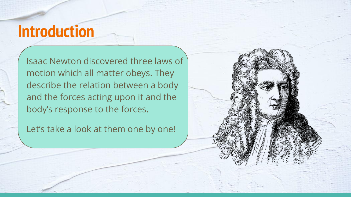## **Introduction**

Isaac Newton discovered three laws of motion which all matter obeys. They describe the relation between a body and the forces acting upon it and the body's response to the forces.

Let's take a look at them one by one!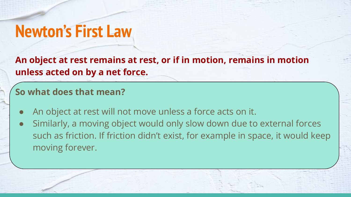## **Newton's First Law**

**An object at rest remains at rest, or if in motion, remains in motion unless acted on by a net force.**

### **So what does that mean?**

- An object at rest will not move unless a force acts on it.
- Similarly, a moving object would only slow down due to external forces such as friction. If friction didn't exist, for example in space, it would keep moving forever.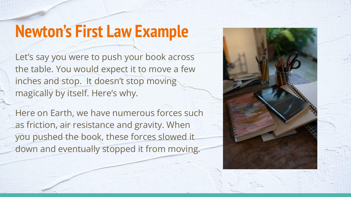## **Newton's First Law Example**

Let's say you were to push your book across the table. You would expect it to move a few inches and stop. It doesn't stop moving magically by itself. Here's why.

Here on Earth, we have numerous forces such as friction, air resistance and gravity. When you pushed the book, these forces slowed it down and eventually stopped it from moving.

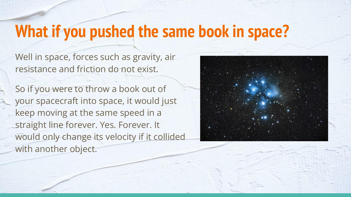## **What if you pushed the same book in space?**

Well in space, forces such as gravity, air resistance and friction do not exist.

So if you were to throw a book out of your spacecraft into space, it would just keep moving at the same speed in a straight line forever. Yes. Forever. It would only change its velocity if it collided with another object.

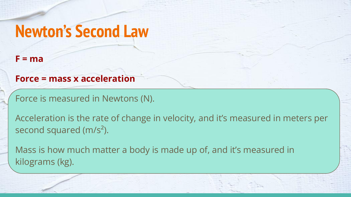## **Newton's Second Law**

#### **F = ma**

#### **Force = mass x acceleration**

Force is measured in Newtons (N).

Acceleration is the rate of change in velocity, and it's measured in meters per second squared  $(m/s<sup>2</sup>)$ .

Mass is how much matter a body is made up of, and it's measured in kilograms (kg).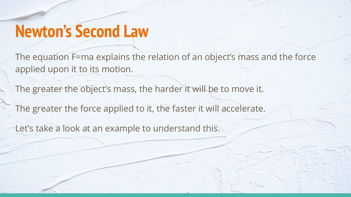## **Newton's Second Law**

The equation F=ma explains the relation of an object's mass and the force applied upon it to its motion.

The greater the object's mass, the harder it will be to move it. The greater the force applied to it, the faster it will accelerate.

Let's take a look at an example to understand this.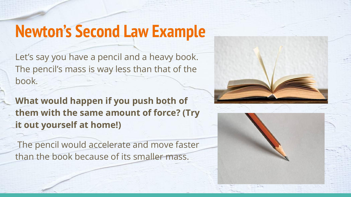## **Newton's Second Law Example**

Let's say you have a pencil and a heavy book. The pencil's mass is way less than that of the book.

**What would happen if you push both of them with the same amount of force? (Try it out yourself at home!)**

 The pencil would accelerate and move faster than the book because of its smaller mass.



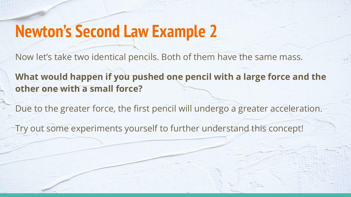## **Newton's Second Law Example 2**

Now let's take two identical pencils. Both of them have the same mass.

**What would happen if you pushed one pencil with a large force and the other one with a small force?**

Due to the greater force, the first pencil will undergo a greater acceleration.

Try out some experiments yourself to further understand this concept!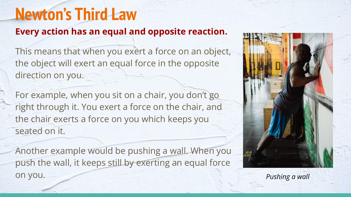## **Newton's Third Law**

### **Every action has an equal and opposite reaction.**

This means that when you exert a force on an object, the object will exert an equal force in the opposite direction on you.

For example, when you sit on a chair, you don't go right through it. You exert a force on the chair, and the chair exerts a force on you which keeps you seated on it.

Another example would be pushing a wall. When you push the wall, it keeps still by exerting an equal force on you. *Pushing a wall*